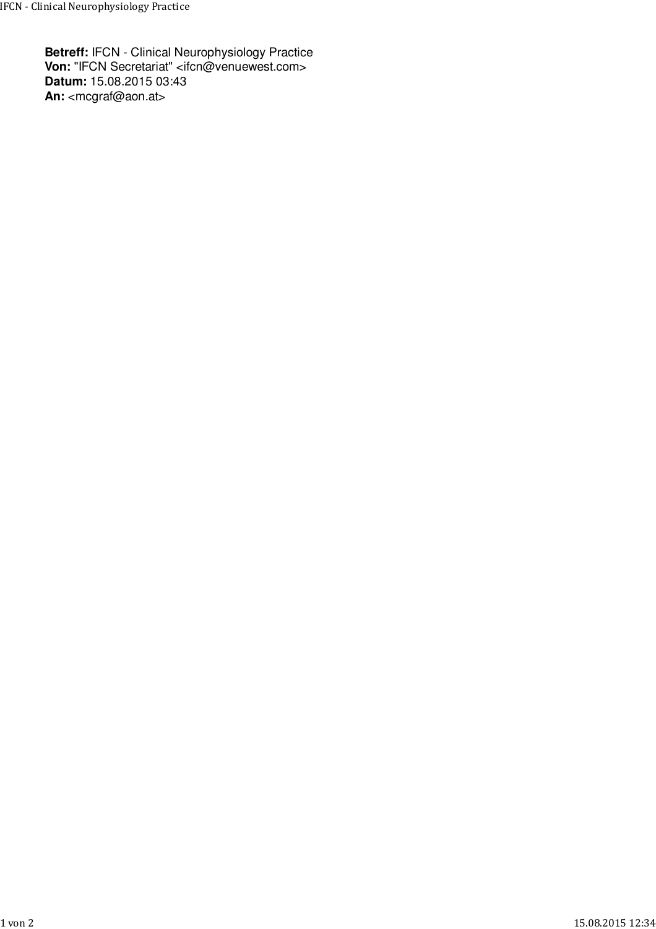**Betreff:** IFCN - Clinical Neurophysiology Practice **Von:** "IFCN Secretariat" <ifcn@venuewest.com> **Datum:** 15.08.2015 03:43 An: <mcgraf@aon.at>